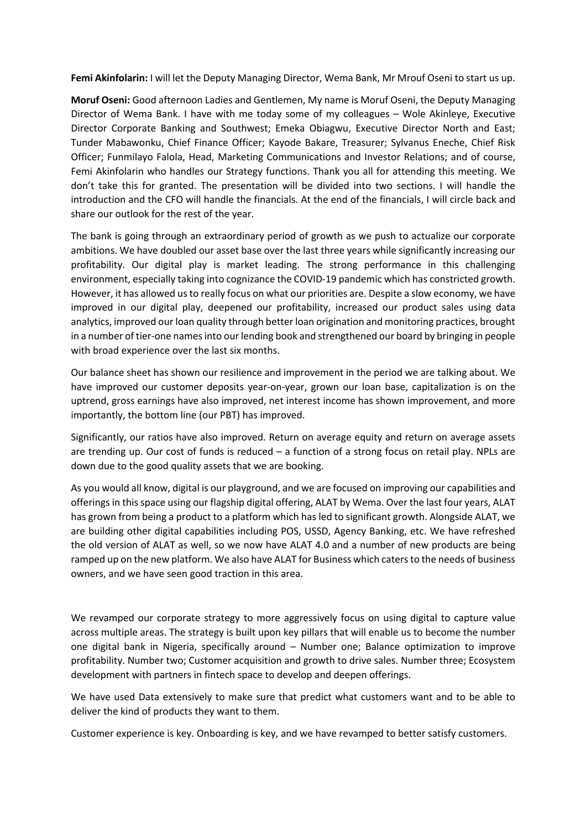**Femi Akinfolarin:** I will let the Deputy Managing Director, Wema Bank, Mr Mrouf Oseni to start us up.

**Moruf Oseni:** Good afternoon Ladies and Gentlemen, My name is Moruf Oseni, the Deputy Managing Director of Wema Bank. I have with me today some of my colleagues – Wole Akinleye, Executive Director Corporate Banking and Southwest; Emeka Obiagwu, Executive Director North and East; Tunder Mabawonku, Chief Finance Officer; Kayode Bakare, Treasurer; Sylvanus Eneche, Chief Risk Officer; Funmilayo Falola, Head, Marketing Communications and Investor Relations; and of course, Femi Akinfolarin who handles our Strategy functions. Thank you all for attending this meeting. We don't take this for granted. The presentation will be divided into two sections. I will handle the introduction and the CFO will handle the financials. At the end of the financials, I will circle back and share our outlook for the rest of the year.

The bank is going through an extraordinary period of growth as we push to actualize our corporate ambitions. We have doubled our asset base over the last three years while significantly increasing our profitability. Our digital play is market leading. The strong performance in this challenging environment, especially taking into cognizance the COVID-19 pandemic which has constricted growth. However, it has allowed us to really focus on what our priorities are. Despite a slow economy, we have improved in our digital play, deepened our profitability, increased our product sales using data analytics, improved our loan quality through better loan origination and monitoring practices, brought in a number of tier-one names into our lending book and strengthened our board by bringing in people with broad experience over the last six months.

Our balance sheet has shown our resilience and improvement in the period we are talking about. We have improved our customer deposits year-on-year, grown our loan base, capitalization is on the uptrend, gross earnings have also improved, net interest income has shown improvement, and more importantly, the bottom line (our PBT) has improved.

Significantly, our ratios have also improved. Return on average equity and return on average assets are trending up. Our cost of funds is reduced – a function of a strong focus on retail play. NPLs are down due to the good quality assets that we are booking.

As you would all know, digital is our playground, and we are focused on improving our capabilities and offerings in this space using our flagship digital offering, ALAT by Wema. Over the last four years, ALAT has grown from being a product to a platform which has led to significant growth. Alongside ALAT, we are building other digital capabilities including POS, USSD, Agency Banking, etc. We have refreshed the old version of ALAT as well, so we now have ALAT 4.0 and a number of new products are being ramped up on the new platform. We also have ALAT for Business which caters to the needs of business owners, and we have seen good traction in this area.

We revamped our corporate strategy to more aggressively focus on using digital to capture value across multiple areas. The strategy is built upon key pillars that will enable us to become the number one digital bank in Nigeria, specifically around – Number one; Balance optimization to improve profitability. Number two; Customer acquisition and growth to drive sales. Number three; Ecosystem development with partners in fintech space to develop and deepen offerings.

We have used Data extensively to make sure that predict what customers want and to be able to deliver the kind of products they want to them.

Customer experience is key. Onboarding is key, and we have revamped to better satisfy customers.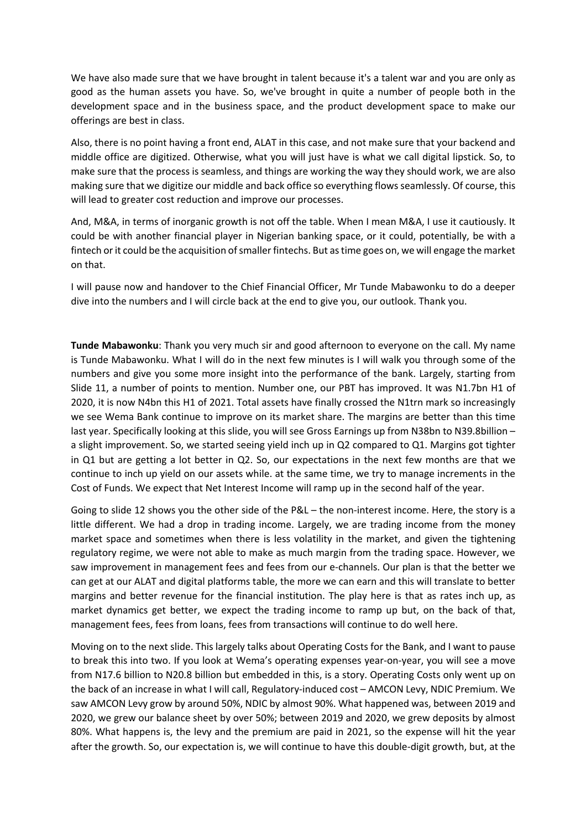We have also made sure that we have brought in talent because it's a talent war and you are only as good as the human assets you have. So, we've brought in quite a number of people both in the development space and in the business space, and the product development space to make our offerings are best in class.

Also, there is no point having a front end, ALAT in this case, and not make sure that your backend and middle office are digitized. Otherwise, what you will just have is what we call digital lipstick. So, to make sure that the process is seamless, and things are working the way they should work, we are also making sure that we digitize our middle and back office so everything flows seamlessly. Of course, this will lead to greater cost reduction and improve our processes.

And, M&A, in terms of inorganic growth is not off the table. When I mean M&A, I use it cautiously. It could be with another financial player in Nigerian banking space, or it could, potentially, be with a fintech or it could be the acquisition of smaller fintechs. But as time goes on, we will engage the market on that.

I will pause now and handover to the Chief Financial Officer, Mr Tunde Mabawonku to do a deeper dive into the numbers and I will circle back at the end to give you, our outlook. Thank you.

**Tunde Mabawonku**: Thank you very much sir and good afternoon to everyone on the call. My name is Tunde Mabawonku. What I will do in the next few minutes is I will walk you through some of the numbers and give you some more insight into the performance of the bank. Largely, starting from Slide 11, a number of points to mention. Number one, our PBT has improved. It was N1.7bn H1 of 2020, it is now N4bn this H1 of 2021. Total assets have finally crossed the N1trn mark so increasingly we see Wema Bank continue to improve on its market share. The margins are better than this time last year. Specifically looking at this slide, you will see Gross Earnings up from N38bn to N39.8billion – a slight improvement. So, we started seeing yield inch up in Q2 compared to Q1. Margins got tighter in Q1 but are getting a lot better in Q2. So, our expectations in the next few months are that we continue to inch up yield on our assets while. at the same time, we try to manage increments in the Cost of Funds. We expect that Net Interest Income will ramp up in the second half of the year.

Going to slide 12 shows you the other side of the P&L – the non-interest income. Here, the story is a little different. We had a drop in trading income. Largely, we are trading income from the money market space and sometimes when there is less volatility in the market, and given the tightening regulatory regime, we were not able to make as much margin from the trading space. However, we saw improvement in management fees and fees from our e-channels. Our plan is that the better we can get at our ALAT and digital platforms table, the more we can earn and this will translate to better margins and better revenue for the financial institution. The play here is that as rates inch up, as market dynamics get better, we expect the trading income to ramp up but, on the back of that, management fees, fees from loans, fees from transactions will continue to do well here.

Moving on to the next slide. This largely talks about Operating Costs for the Bank, and I want to pause to break this into two. If you look at Wema's operating expenses year-on-year, you will see a move from N17.6 billion to N20.8 billion but embedded in this, is a story. Operating Costs only went up on the back of an increase in what I will call, Regulatory-induced cost – AMCON Levy, NDIC Premium. We saw AMCON Levy grow by around 50%, NDIC by almost 90%. What happened was, between 2019 and 2020, we grew our balance sheet by over 50%; between 2019 and 2020, we grew deposits by almost 80%. What happens is, the levy and the premium are paid in 2021, so the expense will hit the year after the growth. So, our expectation is, we will continue to have this double-digit growth, but, at the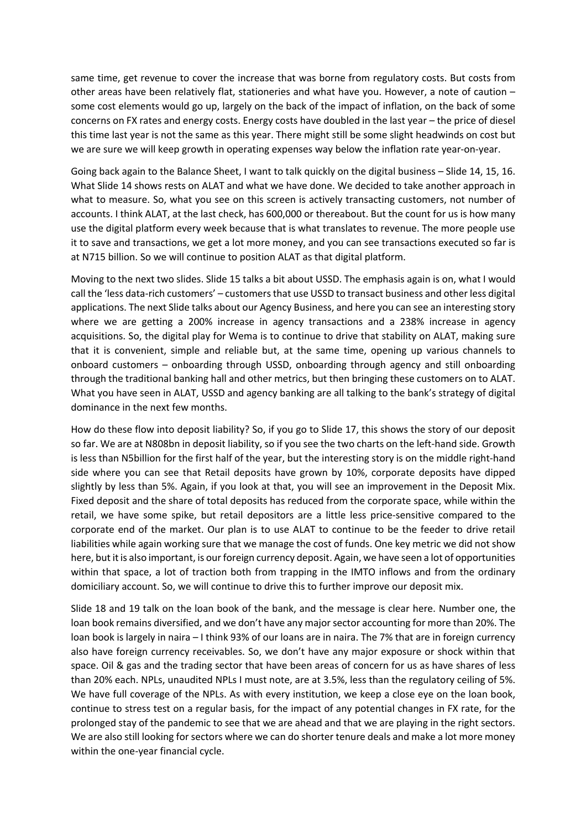same time, get revenue to cover the increase that was borne from regulatory costs. But costs from other areas have been relatively flat, stationeries and what have you. However, a note of caution – some cost elements would go up, largely on the back of the impact of inflation, on the back of some concerns on FX rates and energy costs. Energy costs have doubled in the last year – the price of diesel this time last year is not the same as this year. There might still be some slight headwinds on cost but we are sure we will keep growth in operating expenses way below the inflation rate year-on-year.

Going back again to the Balance Sheet, I want to talk quickly on the digital business – Slide 14, 15, 16. What Slide 14 shows rests on ALAT and what we have done. We decided to take another approach in what to measure. So, what you see on this screen is actively transacting customers, not number of accounts. I think ALAT, at the last check, has 600,000 or thereabout. But the count for us is how many use the digital platform every week because that is what translates to revenue. The more people use it to save and transactions, we get a lot more money, and you can see transactions executed so far is at N715 billion. So we will continue to position ALAT as that digital platform.

Moving to the next two slides. Slide 15 talks a bit about USSD. The emphasis again is on, what I would call the 'less data-rich customers' – customers that use USSD to transact business and other less digital applications. The next Slide talks about our Agency Business, and here you can see an interesting story where we are getting a 200% increase in agency transactions and a 238% increase in agency acquisitions. So, the digital play for Wema is to continue to drive that stability on ALAT, making sure that it is convenient, simple and reliable but, at the same time, opening up various channels to onboard customers – onboarding through USSD, onboarding through agency and still onboarding through the traditional banking hall and other metrics, but then bringing these customers on to ALAT. What you have seen in ALAT, USSD and agency banking are all talking to the bank's strategy of digital dominance in the next few months.

How do these flow into deposit liability? So, if you go to Slide 17, this shows the story of our deposit so far. We are at N808bn in deposit liability, so if you see the two charts on the left-hand side. Growth is less than N5billion for the first half of the year, but the interesting story is on the middle right-hand side where you can see that Retail deposits have grown by 10%, corporate deposits have dipped slightly by less than 5%. Again, if you look at that, you will see an improvement in the Deposit Mix. Fixed deposit and the share of total deposits has reduced from the corporate space, while within the retail, we have some spike, but retail depositors are a little less price-sensitive compared to the corporate end of the market. Our plan is to use ALAT to continue to be the feeder to drive retail liabilities while again working sure that we manage the cost of funds. One key metric we did not show here, but it is also important, is our foreign currency deposit. Again, we have seen a lot of opportunities within that space, a lot of traction both from trapping in the IMTO inflows and from the ordinary domiciliary account. So, we will continue to drive this to further improve our deposit mix.

Slide 18 and 19 talk on the loan book of the bank, and the message is clear here. Number one, the loan book remains diversified, and we don't have any major sector accounting for more than 20%. The loan book is largely in naira – I think 93% of our loans are in naira. The 7% that are in foreign currency also have foreign currency receivables. So, we don't have any major exposure or shock within that space. Oil & gas and the trading sector that have been areas of concern for us as have shares of less than 20% each. NPLs, unaudited NPLs I must note, are at 3.5%, less than the regulatory ceiling of 5%. We have full coverage of the NPLs. As with every institution, we keep a close eye on the loan book, continue to stress test on a regular basis, for the impact of any potential changes in FX rate, for the prolonged stay of the pandemic to see that we are ahead and that we are playing in the right sectors. We are also still looking for sectors where we can do shorter tenure deals and make a lot more money within the one-year financial cycle.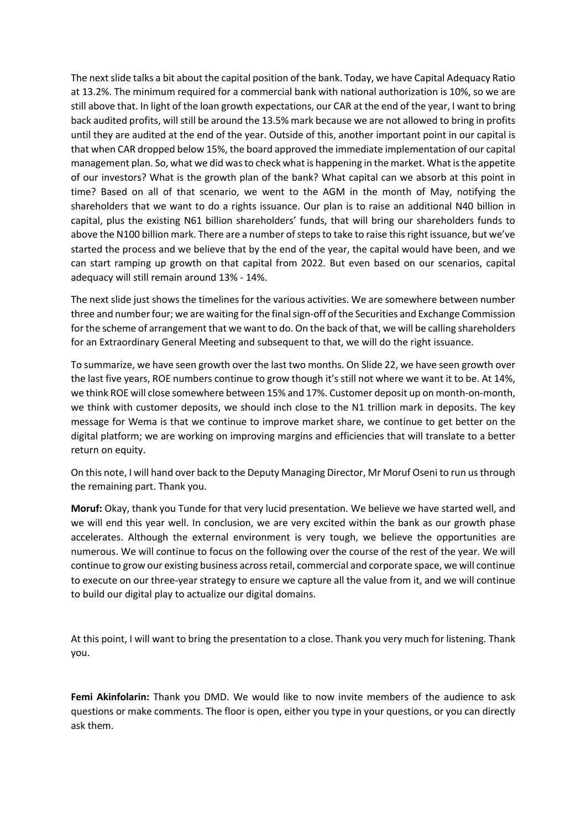The next slide talks a bit about the capital position of the bank. Today, we have Capital Adequacy Ratio at 13.2%. The minimum required for a commercial bank with national authorization is 10%, so we are still above that. In light of the loan growth expectations, our CAR at the end of the year, I want to bring back audited profits, will still be around the 13.5% mark because we are not allowed to bring in profits until they are audited at the end of the year. Outside of this, another important point in our capital is that when CAR dropped below 15%, the board approved the immediate implementation of our capital management plan. So, what we did was to check what is happening in the market. What is the appetite of our investors? What is the growth plan of the bank? What capital can we absorb at this point in time? Based on all of that scenario, we went to the AGM in the month of May, notifying the shareholders that we want to do a rights issuance. Our plan is to raise an additional N40 billion in capital, plus the existing N61 billion shareholders' funds, that will bring our shareholders funds to above the N100 billion mark. There are a number of steps to take to raise this right issuance, but we've started the process and we believe that by the end of the year, the capital would have been, and we can start ramping up growth on that capital from 2022. But even based on our scenarios, capital adequacy will still remain around 13% - 14%.

The next slide just shows the timelines for the various activities. We are somewhere between number three and number four; we are waiting for the final sign-off of the Securities and Exchange Commission for the scheme of arrangement that we want to do. On the back of that, we will be calling shareholders for an Extraordinary General Meeting and subsequent to that, we will do the right issuance.

To summarize, we have seen growth over the last two months. On Slide 22, we have seen growth over the last five years, ROE numbers continue to grow though it's still not where we want it to be. At 14%, we think ROE will close somewhere between 15% and 17%. Customer deposit up on month-on-month, we think with customer deposits, we should inch close to the N1 trillion mark in deposits. The key message for Wema is that we continue to improve market share, we continue to get better on the digital platform; we are working on improving margins and efficiencies that will translate to a better return on equity.

On this note, I will hand over back to the Deputy Managing Director, Mr Moruf Oseni to run us through the remaining part. Thank you.

**Moruf:** Okay, thank you Tunde for that very lucid presentation. We believe we have started well, and we will end this year well. In conclusion, we are very excited within the bank as our growth phase accelerates. Although the external environment is very tough, we believe the opportunities are numerous. We will continue to focus on the following over the course of the rest of the year. We will continue to grow our existing business across retail, commercial and corporate space, we will continue to execute on our three-year strategy to ensure we capture all the value from it, and we will continue to build our digital play to actualize our digital domains.

At this point, I will want to bring the presentation to a close. Thank you very much for listening. Thank you.

**Femi Akinfolarin:** Thank you DMD. We would like to now invite members of the audience to ask questions or make comments. The floor is open, either you type in your questions, or you can directly ask them.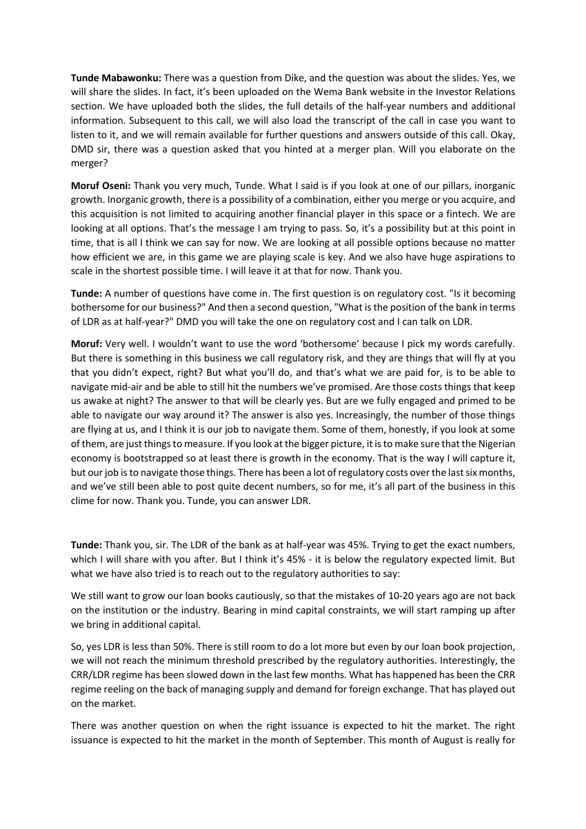**Tunde Mabawonku:** There was a question from Dike, and the question was about the slides. Yes, we will share the slides. In fact, it's been uploaded on the Wema Bank website in the Investor Relations section. We have uploaded both the slides, the full details of the half-year numbers and additional information. Subsequent to this call, we will also load the transcript of the call in case you want to listen to it, and we will remain available for further questions and answers outside of this call. Okay, DMD sir, there was a question asked that you hinted at a merger plan. Will you elaborate on the merger?

**Moruf Oseni:** Thank you very much, Tunde. What I said is if you look at one of our pillars, inorganic growth. Inorganic growth, there is a possibility of a combination, either you merge or you acquire, and this acquisition is not limited to acquiring another financial player in this space or a fintech. We are looking at all options. That's the message I am trying to pass. So, it's a possibility but at this point in time, that is all I think we can say for now. We are looking at all possible options because no matter how efficient we are, in this game we are playing scale is key. And we also have huge aspirations to scale in the shortest possible time. I will leave it at that for now. Thank you.

**Tunde:** A number of questions have come in. The first question is on regulatory cost. "Is it becoming bothersome for our business?" And then a second question, "What is the position of the bank in terms of LDR as at half-year?" DMD you will take the one on regulatory cost and I can talk on LDR.

**Moruf:** Very well. I wouldn't want to use the word 'bothersome' because I pick my words carefully. But there is something in this business we call regulatory risk, and they are things that will fly at you that you didn't expect, right? But what you'll do, and that's what we are paid for, is to be able to navigate mid-air and be able to still hit the numbers we've promised. Are those costs things that keep us awake at night? The answer to that will be clearly yes. But are we fully engaged and primed to be able to navigate our way around it? The answer is also yes. Increasingly, the number of those things are flying at us, and I think it is our job to navigate them. Some of them, honestly, if you look at some of them, are just thingsto measure. If you look at the bigger picture, it is to make sure that the Nigerian economy is bootstrapped so at least there is growth in the economy. That is the way I will capture it, but our job is to navigate those things. There has been a lot of regulatory costs over the last six months, and we've still been able to post quite decent numbers, so for me, it's all part of the business in this clime for now. Thank you. Tunde, you can answer LDR.

**Tunde:** Thank you, sir. The LDR of the bank as at half-year was 45%. Trying to get the exact numbers, which I will share with you after. But I think it's 45% - it is below the regulatory expected limit. But what we have also tried is to reach out to the regulatory authorities to say:

We still want to grow our loan books cautiously, so that the mistakes of 10-20 years ago are not back on the institution or the industry. Bearing in mind capital constraints, we will start ramping up after we bring in additional capital.

So, yes LDR is less than 50%. There is still room to do a lot more but even by our loan book projection, we will not reach the minimum threshold prescribed by the regulatory authorities. Interestingly, the CRR/LDR regime has been slowed down in the last few months. What has happened has been the CRR regime reeling on the back of managing supply and demand for foreign exchange. That has played out on the market.

There was another question on when the right issuance is expected to hit the market. The right issuance is expected to hit the market in the month of September. This month of August is really for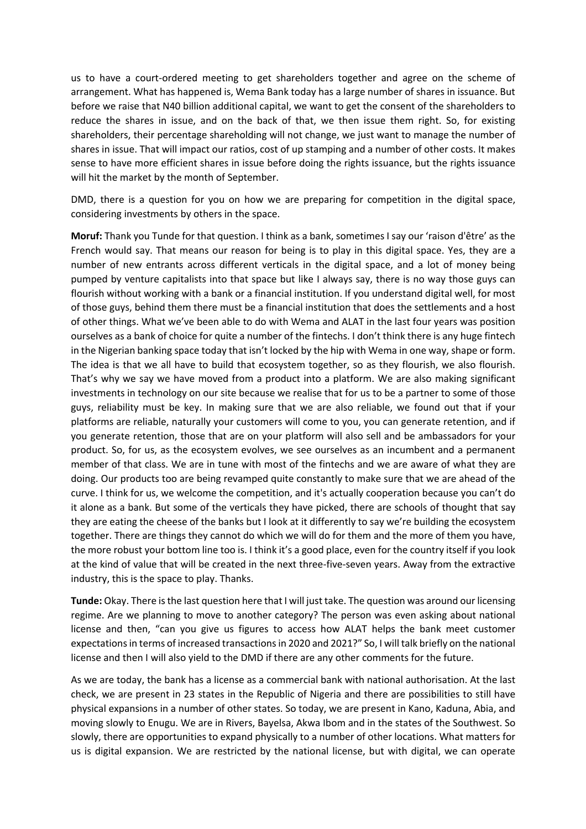us to have a court-ordered meeting to get shareholders together and agree on the scheme of arrangement. What has happened is, Wema Bank today has a large number of shares in issuance. But before we raise that N40 billion additional capital, we want to get the consent of the shareholders to reduce the shares in issue, and on the back of that, we then issue them right. So, for existing shareholders, their percentage shareholding will not change, we just want to manage the number of shares in issue. That will impact our ratios, cost of up stamping and a number of other costs. It makes sense to have more efficient shares in issue before doing the rights issuance, but the rights issuance will hit the market by the month of September.

DMD, there is a question for you on how we are preparing for competition in the digital space, considering investments by others in the space.

**Moruf:** Thank you Tunde for that question. I think as a bank, sometimes I say our 'raison d'être' as the French would say. That means our reason for being is to play in this digital space. Yes, they are a number of new entrants across different verticals in the digital space, and a lot of money being pumped by venture capitalists into that space but like I always say, there is no way those guys can flourish without working with a bank or a financial institution. If you understand digital well, for most of those guys, behind them there must be a financial institution that does the settlements and a host of other things. What we've been able to do with Wema and ALAT in the last four years was position ourselves as a bank of choice for quite a number of the fintechs. I don't think there is any huge fintech in the Nigerian banking space today that isn't locked by the hip with Wema in one way, shape or form. The idea is that we all have to build that ecosystem together, so as they flourish, we also flourish. That's why we say we have moved from a product into a platform. We are also making significant investments in technology on our site because we realise that for us to be a partner to some of those guys, reliability must be key. In making sure that we are also reliable, we found out that if your platforms are reliable, naturally your customers will come to you, you can generate retention, and if you generate retention, those that are on your platform will also sell and be ambassadors for your product. So, for us, as the ecosystem evolves, we see ourselves as an incumbent and a permanent member of that class. We are in tune with most of the fintechs and we are aware of what they are doing. Our products too are being revamped quite constantly to make sure that we are ahead of the curve. I think for us, we welcome the competition, and it's actually cooperation because you can't do it alone as a bank. But some of the verticals they have picked, there are schools of thought that say they are eating the cheese of the banks but I look at it differently to say we're building the ecosystem together. There are things they cannot do which we will do for them and the more of them you have, the more robust your bottom line too is. I think it's a good place, even for the country itself if you look at the kind of value that will be created in the next three-five-seven years. Away from the extractive industry, this is the space to play. Thanks.

**Tunde:** Okay. There is the last question here that I will just take. The question was around our licensing regime. Are we planning to move to another category? The person was even asking about national license and then, "can you give us figures to access how ALAT helps the bank meet customer expectations in terms of increased transactions in 2020 and 2021?" So, I will talk briefly on the national license and then I will also yield to the DMD if there are any other comments for the future.

As we are today, the bank has a license as a commercial bank with national authorisation. At the last check, we are present in 23 states in the Republic of Nigeria and there are possibilities to still have physical expansions in a number of other states. So today, we are present in Kano, Kaduna, Abia, and moving slowly to Enugu. We are in Rivers, Bayelsa, Akwa Ibom and in the states of the Southwest. So slowly, there are opportunities to expand physically to a number of other locations. What matters for us is digital expansion. We are restricted by the national license, but with digital, we can operate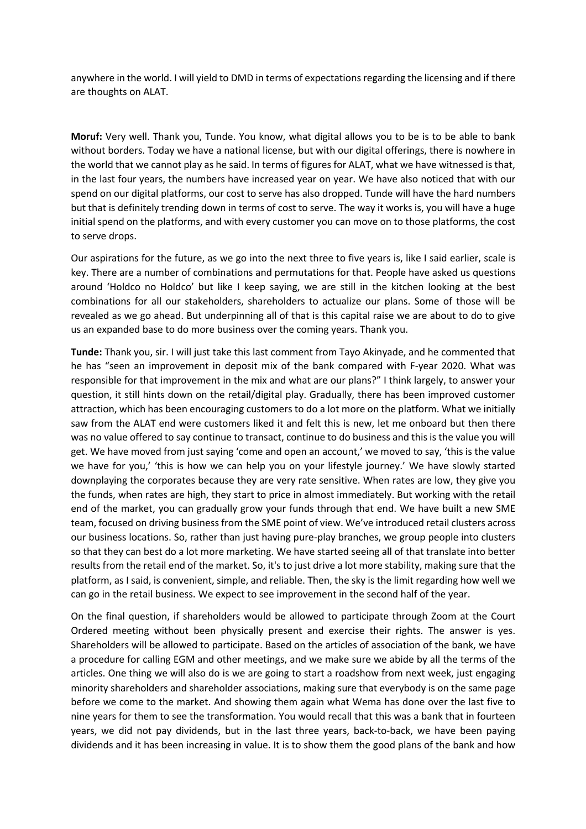anywhere in the world. I will yield to DMD in terms of expectations regarding the licensing and if there are thoughts on ALAT.

**Moruf:** Very well. Thank you, Tunde. You know, what digital allows you to be is to be able to bank without borders. Today we have a national license, but with our digital offerings, there is nowhere in the world that we cannot play as he said. In terms of figures for ALAT, what we have witnessed is that, in the last four years, the numbers have increased year on year. We have also noticed that with our spend on our digital platforms, our cost to serve has also dropped. Tunde will have the hard numbers but that is definitely trending down in terms of cost to serve. The way it works is, you will have a huge initial spend on the platforms, and with every customer you can move on to those platforms, the cost to serve drops.

Our aspirations for the future, as we go into the next three to five years is, like I said earlier, scale is key. There are a number of combinations and permutations for that. People have asked us questions around 'Holdco no Holdco' but like I keep saying, we are still in the kitchen looking at the best combinations for all our stakeholders, shareholders to actualize our plans. Some of those will be revealed as we go ahead. But underpinning all of that is this capital raise we are about to do to give us an expanded base to do more business over the coming years. Thank you.

**Tunde:** Thank you, sir. I will just take this last comment from Tayo Akinyade, and he commented that he has "seen an improvement in deposit mix of the bank compared with F-year 2020. What was responsible for that improvement in the mix and what are our plans?" I think largely, to answer your question, it still hints down on the retail/digital play. Gradually, there has been improved customer attraction, which has been encouraging customers to do a lot more on the platform. What we initially saw from the ALAT end were customers liked it and felt this is new, let me onboard but then there was no value offered to say continue to transact, continue to do business and this is the value you will get. We have moved from just saying 'come and open an account,' we moved to say, 'this is the value we have for you,' 'this is how we can help you on your lifestyle journey.' We have slowly started downplaying the corporates because they are very rate sensitive. When rates are low, they give you the funds, when rates are high, they start to price in almost immediately. But working with the retail end of the market, you can gradually grow your funds through that end. We have built a new SME team, focused on driving business from the SME point of view. We've introduced retail clusters across our business locations. So, rather than just having pure-play branches, we group people into clusters so that they can best do a lot more marketing. We have started seeing all of that translate into better results from the retail end of the market. So, it's to just drive a lot more stability, making sure that the platform, as I said, is convenient, simple, and reliable. Then, the sky is the limit regarding how well we can go in the retail business. We expect to see improvement in the second half of the year.

On the final question, if shareholders would be allowed to participate through Zoom at the Court Ordered meeting without been physically present and exercise their rights. The answer is yes. Shareholders will be allowed to participate. Based on the articles of association of the bank, we have a procedure for calling EGM and other meetings, and we make sure we abide by all the terms of the articles. One thing we will also do is we are going to start a roadshow from next week, just engaging minority shareholders and shareholder associations, making sure that everybody is on the same page before we come to the market. And showing them again what Wema has done over the last five to nine years for them to see the transformation. You would recall that this was a bank that in fourteen years, we did not pay dividends, but in the last three years, back-to-back, we have been paying dividends and it has been increasing in value. It is to show them the good plans of the bank and how